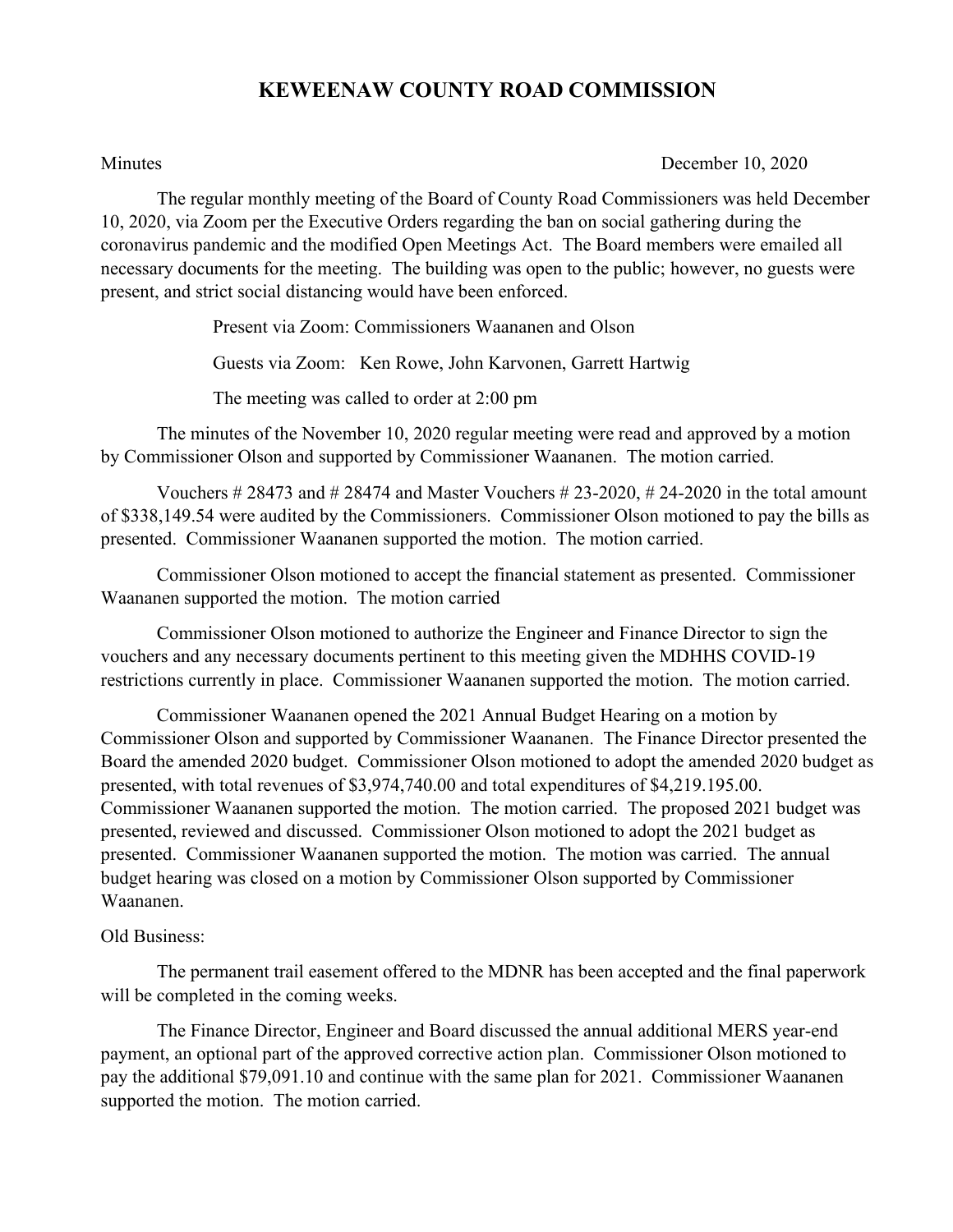## **KEWEENAW COUNTY ROAD COMMISSION**

Minutes December 10, 2020

The regular monthly meeting of the Board of County Road Commissioners was held December 10, 2020, via Zoom per the Executive Orders regarding the ban on social gathering during the coronavirus pandemic and the modified Open Meetings Act. The Board members were emailed all necessary documents for the meeting. The building was open to the public; however, no guests were present, and strict social distancing would have been enforced.

Present via Zoom: Commissioners Waananen and Olson

Guests via Zoom: Ken Rowe, John Karvonen, Garrett Hartwig

The meeting was called to order at 2:00 pm

The minutes of the November 10, 2020 regular meeting were read and approved by a motion by Commissioner Olson and supported by Commissioner Waananen. The motion carried.

Vouchers  $\# 28473$  and  $\# 28474$  and Master Vouchers  $\# 23-2020$ ,  $\# 24-2020$  in the total amount of \$338,149.54 were audited by the Commissioners. Commissioner Olson motioned to pay the bills as presented. Commissioner Waananen supported the motion. The motion carried.

Commissioner Olson motioned to accept the financial statement as presented. Commissioner Waananen supported the motion. The motion carried

Commissioner Olson motioned to authorize the Engineer and Finance Director to sign the vouchers and any necessary documents pertinent to this meeting given the MDHHS COVID-19 restrictions currently in place. Commissioner Waananen supported the motion. The motion carried.

Commissioner Waananen opened the 2021 Annual Budget Hearing on a motion by Commissioner Olson and supported by Commissioner Waananen. The Finance Director presented the Board the amended 2020 budget. Commissioner Olson motioned to adopt the amended 2020 budget as presented, with total revenues of \$3,974,740.00 and total expenditures of \$4,219.195.00. Commissioner Waananen supported the motion. The motion carried. The proposed 2021 budget was presented, reviewed and discussed. Commissioner Olson motioned to adopt the 2021 budget as presented. Commissioner Waananen supported the motion. The motion was carried. The annual budget hearing was closed on a motion by Commissioner Olson supported by Commissioner Waananen.

## Old Business:

The permanent trail easement offered to the MDNR has been accepted and the final paperwork will be completed in the coming weeks.

The Finance Director, Engineer and Board discussed the annual additional MERS year-end payment, an optional part of the approved corrective action plan. Commissioner Olson motioned to pay the additional \$79,091.10 and continue with the same plan for 2021. Commissioner Waananen supported the motion. The motion carried.